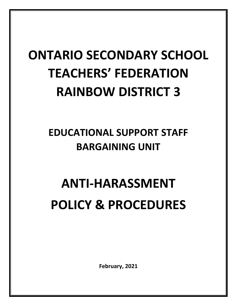## **ONTARIO SECONDARY SCHOOL TEACHERS' FEDERATION RAINBOW DISTRICT 3**

### **EDUCATIONAL SUPPORT STAFF BARGAINING UNIT**

# **ANTI-HARASSMENT POLICY & PROCEDURES**

**February, 2021**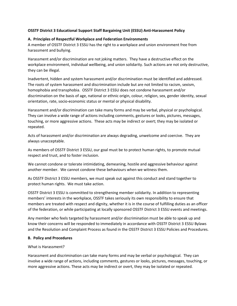#### **OSSTF District 3 Educational Support Staff Bargaining Unit (ESSU) Anti-Harassment Policy**

#### **A. Principles of Respectful Workplace and Federation Environments**

A member of OSSTF District 3 ESSU has the right to a workplace and union environment free from harassment and bullying.

Harassment and/or discrimination are not joking matters. They have a destructive effect on the workplace environment, individual wellbeing, and union solidarity. Such actions are not only destructive, they can be illegal.

Inadvertent, hidden and system harassment and/or discrimination must be identified and addressed. The roots of system harassment and discrimination include but are not limited to racism, sexism, homophobia and transphobia. OSSTF District 3 ESSU does not condone harassment and/or discrimination on the basis of age, national or ethnic origin, colour, religion, sex, gender identity, sexual orientation, rate, socio-economic status or mental or physical disability.

Harassment and/or discrimination can take many forms and may be verbal, physical or psychological. They can involve a wide range of actions including comments, gestures or looks, pictures, messages, touching, or more aggressive actions. These acts may be indirect or overt; they may be isolated or repeated.

Acts of harassment and/or discrimination are always degrading, unwelcome and coercive. They are always unacceptable.

As members of OSSTF District 3 ESSU, our goal must be to protect human rights, to promote mutual respect and trust, and to foster inclusion.

We cannot condone or tolerate intimidating, demeaning, hostile and aggressive behaviour against another member. We cannot condone these behaviours when we witness them.

As OSSTF District 3 ESSU members, we must speak out against this conduct and stand together to protect human rights. We must take action.

OSSTF District 3 ESSU is committed to strengthening member solidarity. In addition to representing members' interests in the workplace, OSSTF takes seriously its own responsibility to ensure that members are treated with respect and dignity, whether it is in the course of fulfilling duties as an officer of the federation, or while participating at locally sponsored OSSTF District 3 ESSU events and meetings.

Any member who feels targeted by harassment and/or discrimination must be able to speak up and know their concerns will be responded to immediately in accordance with OSSTF District 3 ESSU Bylaws and the Resolution and Complaint Process as found in the OSSTF District 3 ESSU Policies and Procedures.

#### **B. Policy and Procedures**

#### What is Harassment?

Harassment and discrimination can take many forms and may be verbal or psychological. They can involve a wide range of actions, including comments, gestures or looks, pictures, messages, touching, or more aggressive actions. These acts may be indirect or overt, they may be isolated or repeated.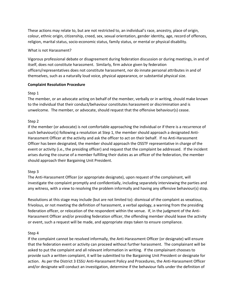These actions may relate to, but are not restricted to, an individual's race, ancestry, place of origin, colour, ethnic origin, citizenship, creed, sex, sexual orientation, gender identity, age, record of offences, religion, marital status, socio-economic status, family status, or mental or physical disability.

#### What is not Harassment?

Vigorous professional debate or disagreement during federation discussion or during meetings, in and of itself, does not constitute harassment. Similarly, firm advice given by federation officers/representatives does not constitute harassment, nor do innate personal attributes in and of themselves, such as a naturally loud voice, physical appearance, or substantial physical size.

#### **Complaint Resolution Procedure**

#### Step 1

The member, or an advocate acting on behalf of the member, verbally or in writing, should make known to the individual that their conduct/behaviour constitutes harassment or discrimination and is unwelcome. The member, or advocate, should request that the offensive behaviour(s) cease.

#### Step 2

If the member (or advocate) is not comfortable approaching the individual or if there is a recurrence of such behaviour(s) following a resolution at Step 1, the member should approach a designated Anti-Harassment Officer at the activity and ask the officer to act on their behalf. If no Anti-Harassment Officer has been designated, the member should approach the OSSTF representative in charge of the event or activity (i.e., the presiding officer) and request that the complaint be addressed. If the incident arises during the course of a member fulfilling their duties as an officer of the federation, the member should approach their Bargaining Unit President.

#### Step 3

The Anti-Harassment Officer (or appropriate designate), upon request of the complainant, will investigate the complaint promptly and confidentially, including separately interviewing the parties and any witness, with a view to resolving the problem informally and having any offensive behaviour(s) stop.

Resolutions at this stage may include (but are not limited to): dismissal of the complaint as vexatious, frivolous, or not meeting the definition of harassment, a verbal apology, a warning from the presiding federation officer, or relocation of the respondent within the venue. If, in the judgment of the Anti-Harassment Officer and/or presiding federation officer, the offending member should leave the activity or event, such a request will be made, and appropriate steps taken to ensure compliance.

#### Step 4

If the complaint cannot be resolved informally, the Anti-Harassment Officer (or designate) will ensure that the federation event or activity can proceed without further harassment. The complainant will be asked to put the complaint and all relevant information in writing. If the complainant chooses to provide such a written complaint, it will be submitted to the Bargaining Unit President or designate for action. As per the District 3 ESSU Anti-Harassment Policy and Procedures, the Anti-Harassment Officer and/or designate will conduct an investigation, determine if the behaviour falls under the definition of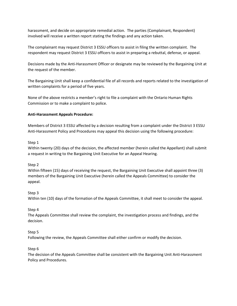harassment, and decide on appropriate remedial action. The parties (Complainant, Respondent) involved will receive a written report stating the findings and any action taken.

The complainant may request District 3 ESSU officers to assist in filing the written complaint. The respondent may request District 3 ESSU officers to assist in preparing a rebuttal, defense, or appeal.

Decisions made by the Anti-Harassment Officer or designate may be reviewed by the Bargaining Unit at the request of the member.

The Bargaining Unit shall keep a confidential file of all records and reports related to the investigation of written complaints for a period of five years.

None of the above restricts a member's right to file a complaint with the Ontario Human Rights Commission or to make a complaint to police.

#### **Anti-Harassment Appeals Procedure:**

Members of District 3 ESSU affected by a decision resulting from a complaint under the District 3 ESSU Anti-Harassment Policy and Procedures may appeal this decision using the following procedure:

#### Step 1

Within twenty (20) days of the decision, the affected member (herein called the Appellant) shall submit a request in writing to the Bargaining Unit Executive for an Appeal Hearing.

#### Step 2

Within fifteen (15) days of receiving the request, the Bargaining Unit Executive shall appoint three (3) members of the Bargaining Unit Executive (herein called the Appeals Committee) to consider the appeal.

#### Step 3

Within ten (10) days of the formation of the Appeals Committee, it shall meet to consider the appeal.

#### Step 4

The Appeals Committee shall review the complaint, the investigation process and findings, and the decision.

#### Step 5

Following the review, the Appeals Committee shall either confirm or modify the decision.

#### Step 6

The decision of the Appeals Committee shall be consistent with the Bargaining Unit Anti-Harassment Policy and Procedures.